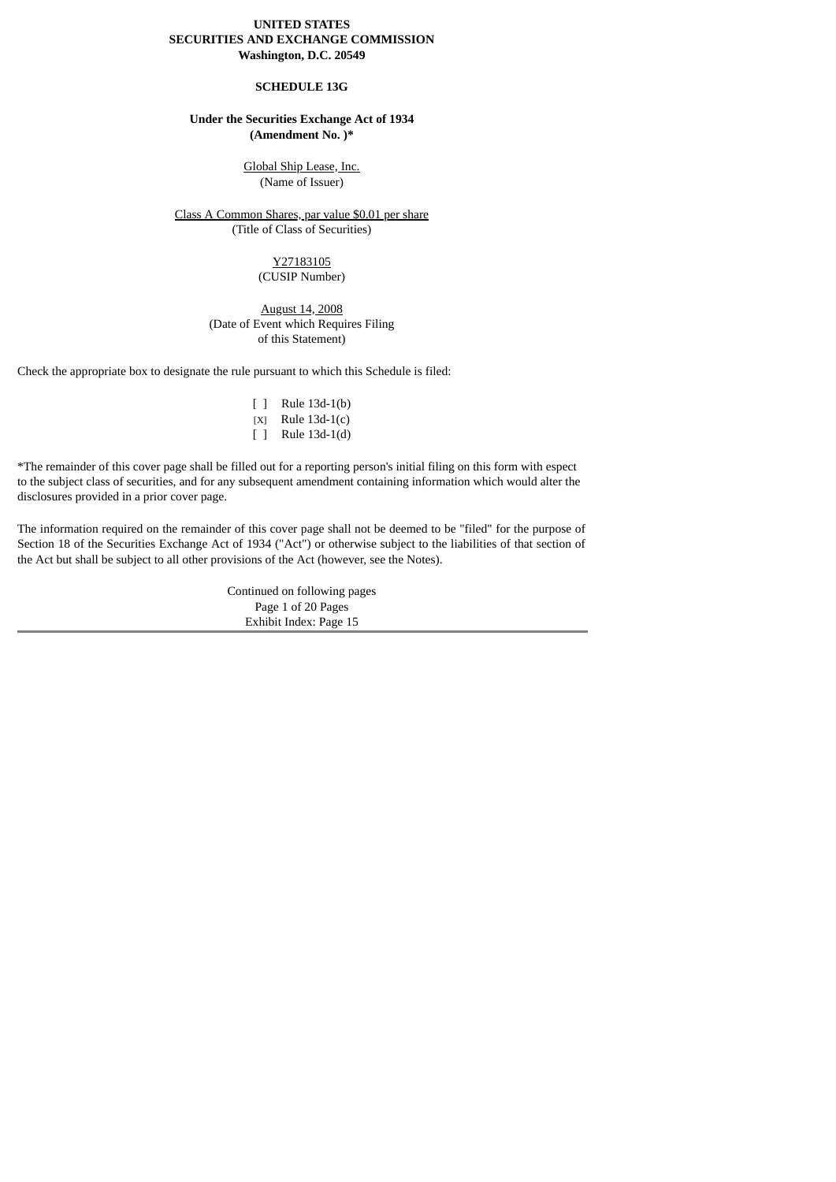### **UNITED STATES SECURITIES AND EXCHANGE COMMISSION Washington, D.C. 20549**

### **SCHEDULE 13G**

### **Under the Securities Exchange Act of 1934 (Amendment No. )\***

Global Ship Lease, Inc. (Name of Issuer)

Class A Common Shares, par value \$0.01 per share (Title of Class of Securities)

> Y27183105 (CUSIP Number)

### August 14, 2008 (Date of Event which Requires Filing of this Statement)

Check the appropriate box to designate the rule pursuant to which this Schedule is filed:

| $\mathsf{L}$ | Rule 13d-1(b)   |
|--------------|-----------------|
| [X]          | Rule $13d-1(c)$ |
| $\mathsf{L}$ | Rule 13d-1(d)   |

\*The remainder of this cover page shall be filled out for a reporting person's initial filing on this form with espect to the subject class of securities, and for any subsequent amendment containing information which would alter the disclosures provided in a prior cover page.

The information required on the remainder of this cover page shall not be deemed to be "filed" for the purpose of Section 18 of the Securities Exchange Act of 1934 ("Act") or otherwise subject to the liabilities of that section of the Act but shall be subject to all other provisions of the Act (however, see the Notes).

> Continued on following pages Page 1 of 20 Pages Exhibit Index: Page 15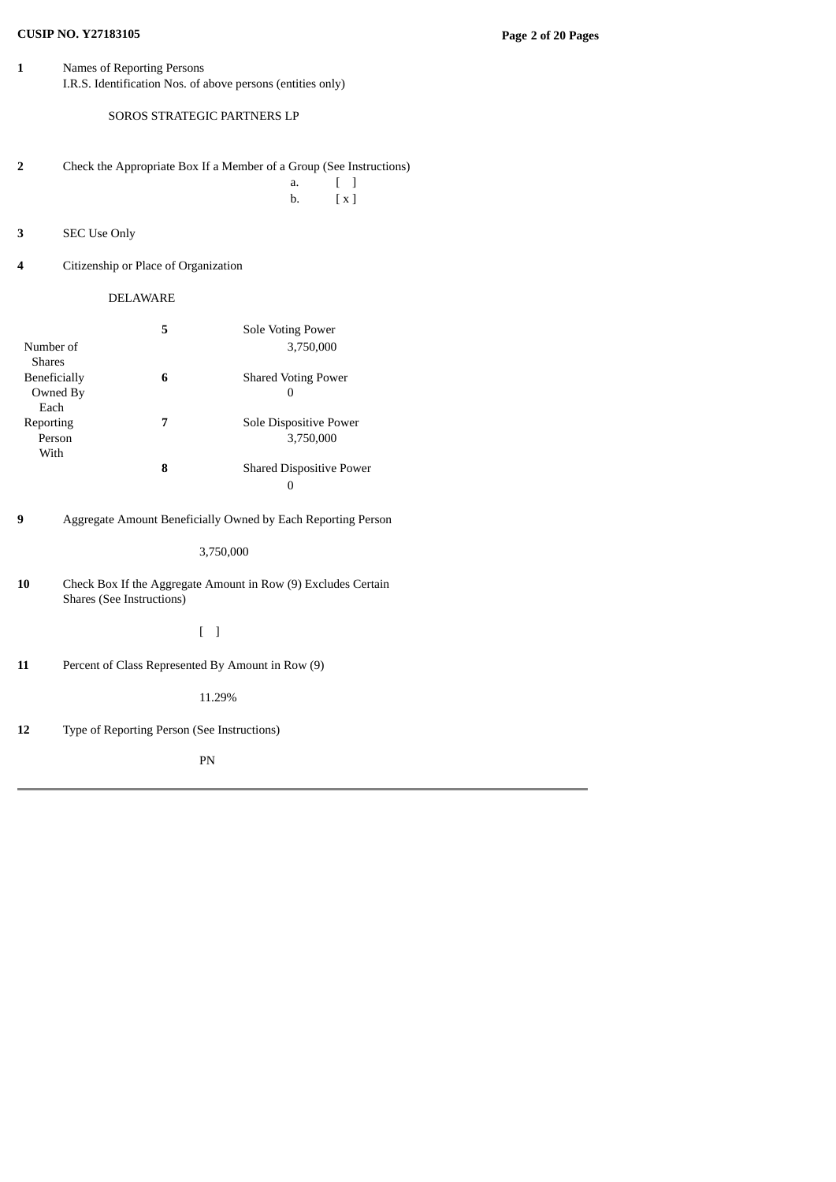# **CUSIP NO. Y27183105 Page 2 of 20 Pages**

**1** Names of Reporting Persons I.R.S. Identification Nos. of above persons (entities only)

SOROS STRATEGIC PARTNERS LP

**2** Check the Appropriate Box If a Member of a Group (See Instructions) a. [ ]

b. [ x ]

- **3** SEC Use Only
- **4** Citizenship or Place of Organization

# DELAWARE

|               | 5 | Sole Voting Power               |
|---------------|---|---------------------------------|
| Number of     |   | 3,750,000                       |
| <b>Shares</b> |   |                                 |
| Beneficially  | 6 | <b>Shared Voting Power</b>      |
| Owned By      |   | 0                               |
| Each          |   |                                 |
| Reporting     | 7 | Sole Dispositive Power          |
| Person        |   | 3.750,000                       |
| With          |   |                                 |
|               | 8 | <b>Shared Dispositive Power</b> |
|               |   |                                 |

**9** Aggregate Amount Beneficially Owned by Each Reporting Person

3,750,000

**10** Check Box If the Aggregate Amount in Row (9) Excludes Certain Shares (See Instructions)

[ ]

**11** Percent of Class Represented By Amount in Row (9)

11.29%

**12** Type of Reporting Person (See Instructions)

PN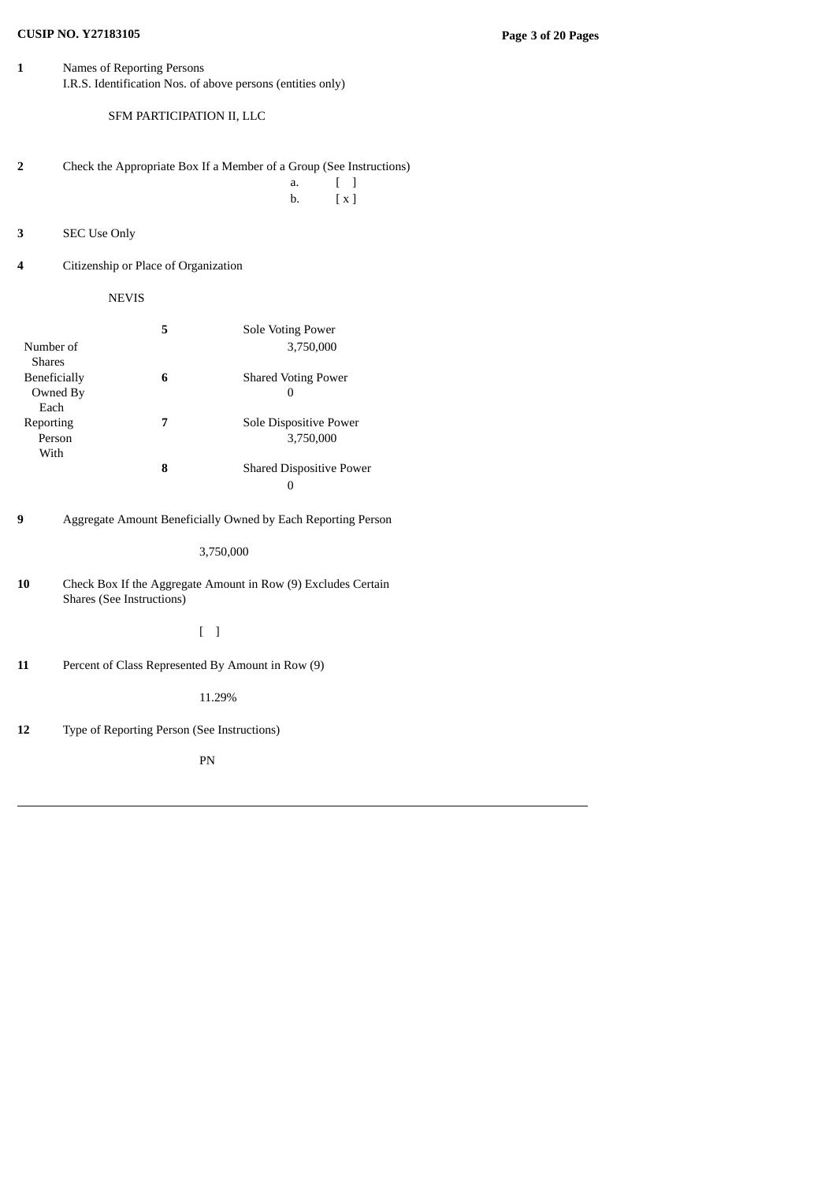# **CUSIP NO. Y27183105 Page 3 of 20 Pages**

**1** Names of Reporting Persons I.R.S. Identification Nos. of above persons (entities only)

SFM PARTICIPATION II, LLC

**2** Check the Appropriate Box If a Member of a Group (See Instructions) a. [ ] b. [ x ]

**3** SEC Use Only

**4** Citizenship or Place of Organization

NEVIS

|               | 5 | Sole Voting Power               |
|---------------|---|---------------------------------|
| Number of     |   | 3,750,000                       |
| <b>Shares</b> |   |                                 |
| Beneficially  | 6 | <b>Shared Voting Power</b>      |
| Owned By      |   | 0                               |
| Each          |   |                                 |
| Reporting     | 7 | Sole Dispositive Power          |
| Person        |   | 3.750,000                       |
| With          |   |                                 |
|               | 8 | <b>Shared Dispositive Power</b> |
|               |   |                                 |

**9** Aggregate Amount Beneficially Owned by Each Reporting Person

3,750,000

**10** Check Box If the Aggregate Amount in Row (9) Excludes Certain Shares (See Instructions)

[ ]

**11** Percent of Class Represented By Amount in Row (9)

11.29%

**12** Type of Reporting Person (See Instructions)

PN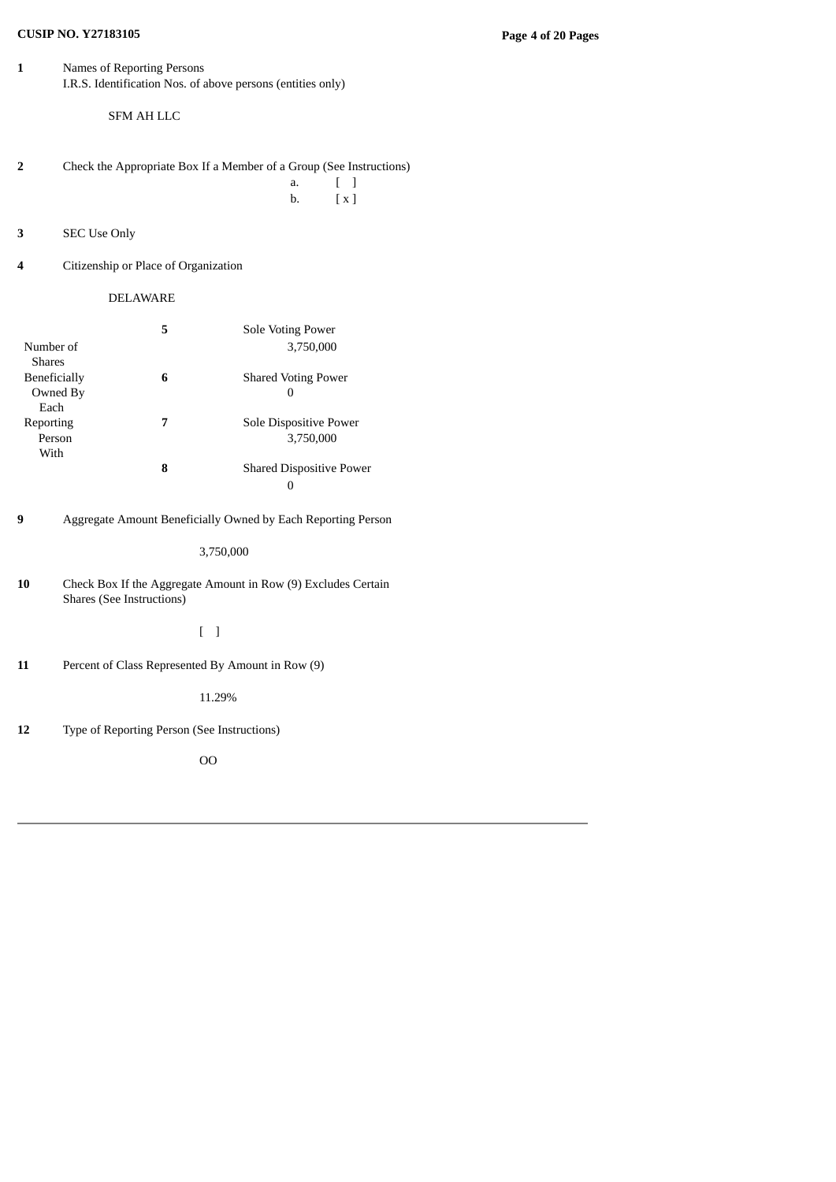# **CUSIP NO. Y27183105 Page 4 of 20 Pages**

**1** Names of Reporting Persons I.R.S. Identification Nos. of above persons (entities only)

SFM AH LLC

- **2** Check the Appropriate Box If a Member of a Group (See Instructions) a. [ ] b. [ x ]
	-
- **3** SEC Use Only
- **4** Citizenship or Place of Organization

### DELAWARE

|               | 5 | Sole Voting Power               |
|---------------|---|---------------------------------|
| Number of     |   | 3.750,000                       |
| <b>Shares</b> |   |                                 |
| Beneficially  | 6 | <b>Shared Voting Power</b>      |
| Owned By      |   | 0                               |
| Each          |   |                                 |
| Reporting     | 7 | Sole Dispositive Power          |
| Person        |   | 3.750,000                       |
| With          |   |                                 |
|               | 8 | <b>Shared Dispositive Power</b> |
|               |   | 0                               |

**9** Aggregate Amount Beneficially Owned by Each Reporting Person

3,750,000

**10** Check Box If the Aggregate Amount in Row (9) Excludes Certain Shares (See Instructions)

[ ]

**11** Percent of Class Represented By Amount in Row (9)

11.29%

**12** Type of Reporting Person (See Instructions)

OO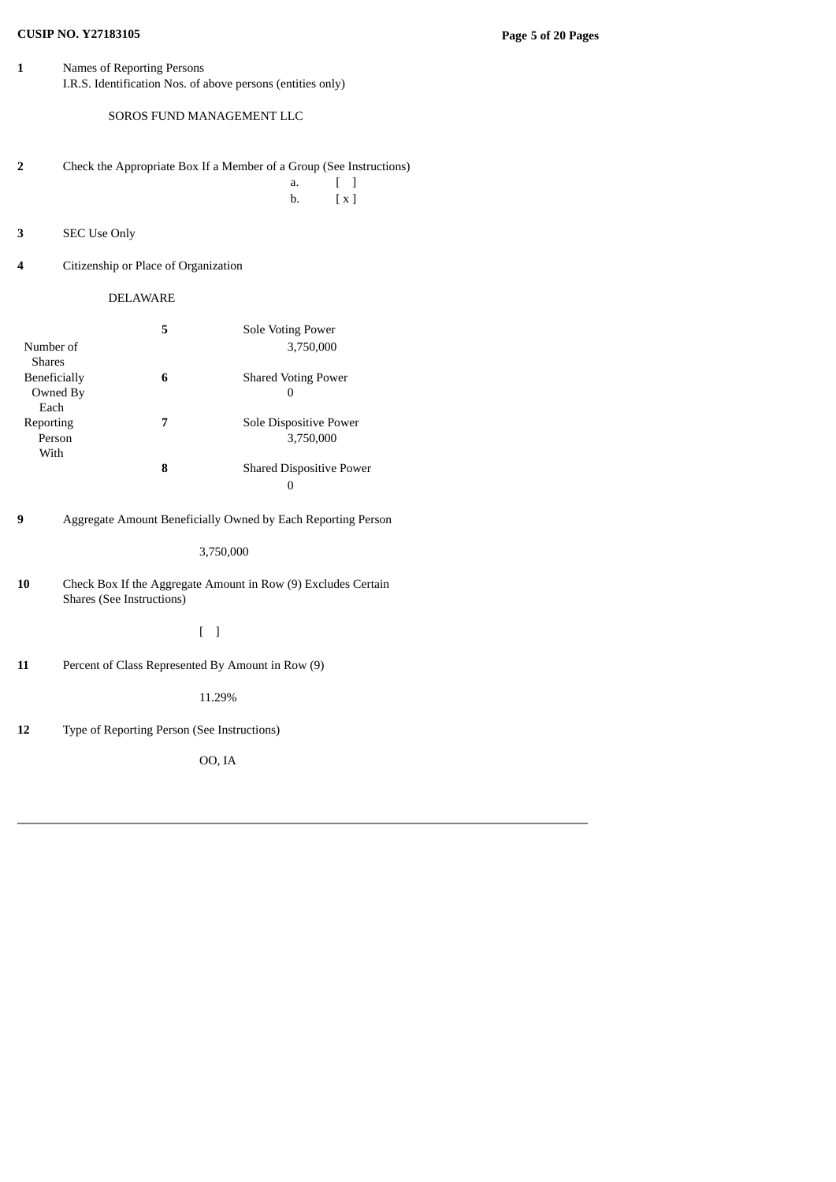# **CUSIP NO. Y27183105 Page 5 of 20 Pages**

**1** Names of Reporting Persons I.R.S. Identification Nos. of above persons (entities only)

SOROS FUND MANAGEMENT LLC

**2** Check the Appropriate Box If a Member of a Group (See Instructions) a. [ ]

b. [ x ]

- **3** SEC Use Only
- **4** Citizenship or Place of Organization

# DELAWARE

|               | 5 | Sole Voting Power               |
|---------------|---|---------------------------------|
| Number of     |   | 3.750,000                       |
| <b>Shares</b> |   |                                 |
| Beneficially  | 6 | <b>Shared Voting Power</b>      |
| Owned By      |   | 0                               |
| Each          |   |                                 |
| Reporting     | 7 | Sole Dispositive Power          |
| Person        |   | 3.750,000                       |
| With          |   |                                 |
|               | 8 | <b>Shared Dispositive Power</b> |
|               |   |                                 |

**9** Aggregate Amount Beneficially Owned by Each Reporting Person

3,750,000

**10** Check Box If the Aggregate Amount in Row (9) Excludes Certain Shares (See Instructions)

[ ]

**11** Percent of Class Represented By Amount in Row (9)

11.29%

**12** Type of Reporting Person (See Instructions)

OO, IA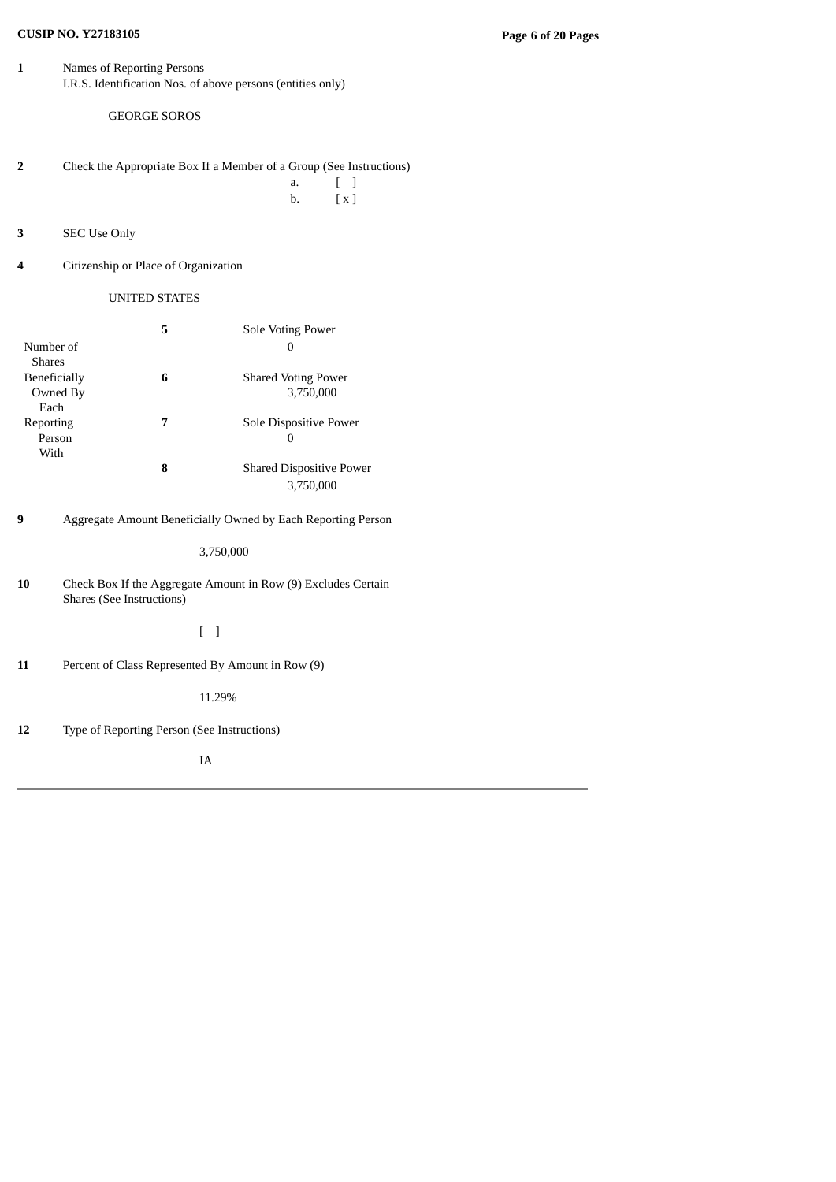# **CUSIP NO. Y27183105 Page 6 of 20 Pages**

**1** Names of Reporting Persons I.R.S. Identification Nos. of above persons (entities only)

GEORGE SOROS

- **2** Check the Appropriate Box If a Member of a Group (See Instructions) a. [ ]
	- b. [ x ]

- **3** SEC Use Only
- **4** Citizenship or Place of Organization

UNITED STATES

|               | 5 | Sole Voting Power               |
|---------------|---|---------------------------------|
| Number of     |   | 0                               |
| <b>Shares</b> |   |                                 |
| Beneficially  | 6 | <b>Shared Voting Power</b>      |
| Owned By      |   | 3.750,000                       |
| Each          |   |                                 |
| Reporting     | 7 | Sole Dispositive Power          |
| Person        |   | $\mathbf{0}$                    |
| With          |   |                                 |
|               | 8 | <b>Shared Dispositive Power</b> |
|               |   | 3.750,000                       |

**9** Aggregate Amount Beneficially Owned by Each Reporting Person

3,750,000

**10** Check Box If the Aggregate Amount in Row (9) Excludes Certain Shares (See Instructions)

[ ]

**11** Percent of Class Represented By Amount in Row (9)

11.29%

**12** Type of Reporting Person (See Instructions)

IA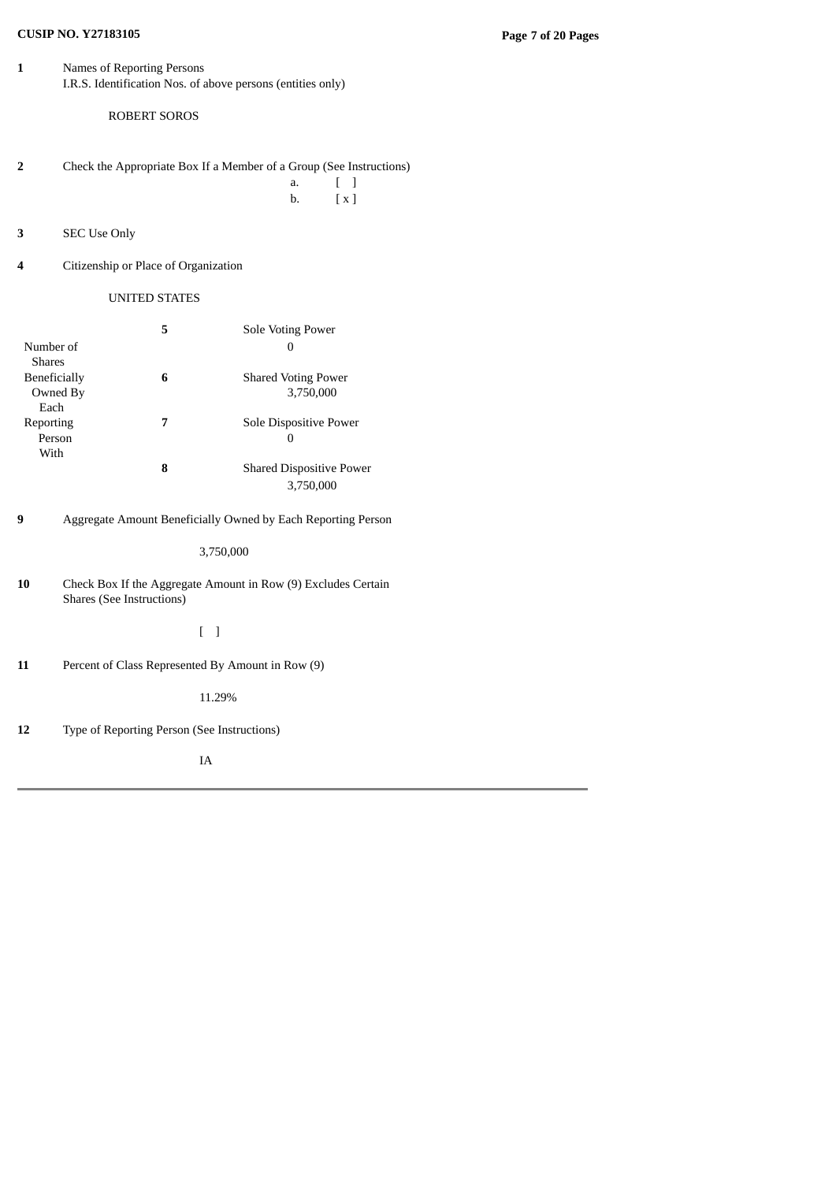# **CUSIP NO. Y27183105 Page 7 of 20 Pages**

**1** Names of Reporting Persons I.R.S. Identification Nos. of above persons (entities only)

ROBERT SOROS

- **2** Check the Appropriate Box If a Member of a Group (See Instructions) a. [ ]
	- b. [ x ]

- **3** SEC Use Only
- **4** Citizenship or Place of Organization

UNITED STATES

|               | 5 | Sole Voting Power               |
|---------------|---|---------------------------------|
| Number of     |   | 0                               |
| <b>Shares</b> |   |                                 |
| Beneficially  | 6 | <b>Shared Voting Power</b>      |
| Owned By      |   | 3.750,000                       |
| Each          |   |                                 |
| Reporting     | 7 | Sole Dispositive Power          |
| Person        |   | $\mathbf{0}$                    |
| With          |   |                                 |
|               | 8 | <b>Shared Dispositive Power</b> |
|               |   | 3.750,000                       |

**9** Aggregate Amount Beneficially Owned by Each Reporting Person

3,750,000

**10** Check Box If the Aggregate Amount in Row (9) Excludes Certain Shares (See Instructions)

[ ]

**11** Percent of Class Represented By Amount in Row (9)

11.29%

**12** Type of Reporting Person (See Instructions)

IA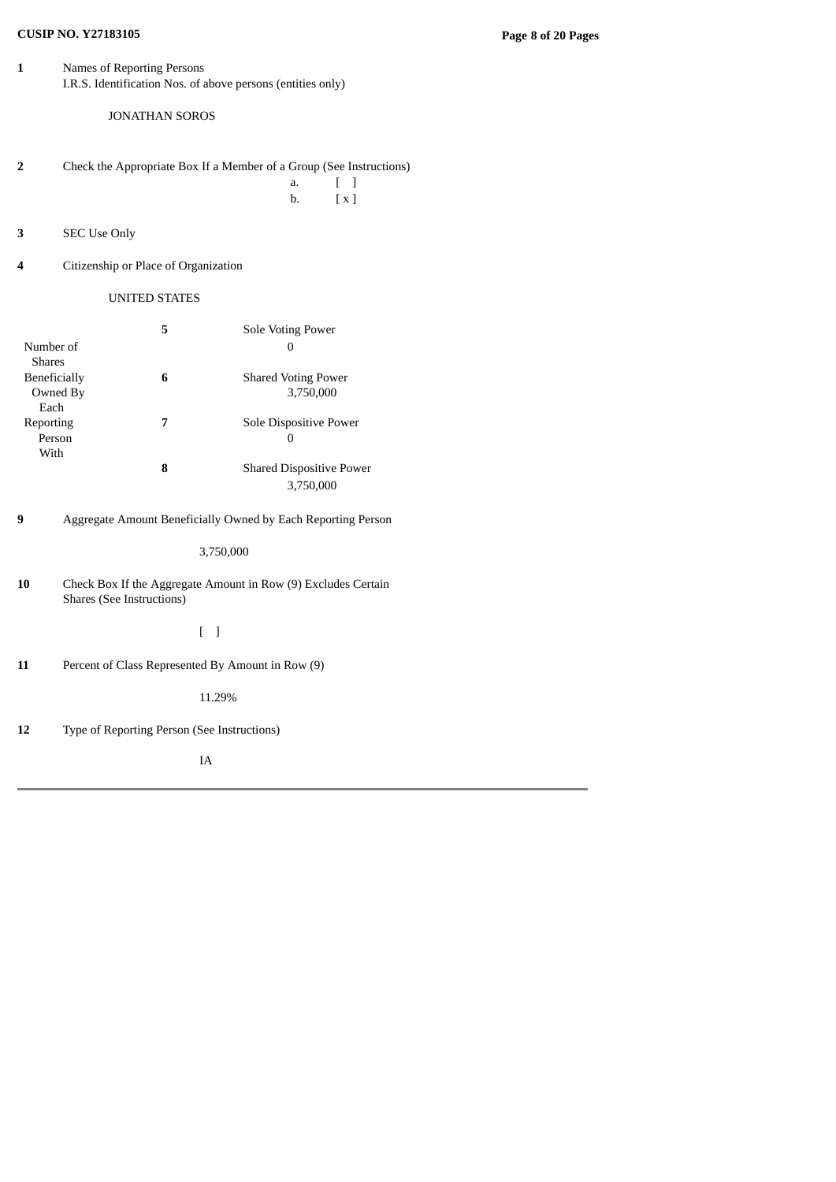# **CUSIP NO. Y27183105 Page 8 of 20 Pages**

**1** Names of Reporting Persons I.R.S. Identification Nos. of above persons (entities only)

JONATHAN SOROS

- **2** Check the Appropriate Box If a Member of a Group (See Instructions) a. [ ]
	- b. [ x ]

- **3** SEC Use Only
- **4** Citizenship or Place of Organization

UNITED STATES

|               | 5 | Sole Voting Power               |
|---------------|---|---------------------------------|
| Number of     |   | 0                               |
| <b>Shares</b> |   |                                 |
| Beneficially  | 6 | <b>Shared Voting Power</b>      |
| Owned By      |   | 3.750,000                       |
| Each          |   |                                 |
| Reporting     | 7 | Sole Dispositive Power          |
| Person        |   | 0                               |
| With          |   |                                 |
|               | 8 | <b>Shared Dispositive Power</b> |
|               |   | 3.750,000                       |

**9** Aggregate Amount Beneficially Owned by Each Reporting Person

3,750,000

**10** Check Box If the Aggregate Amount in Row (9) Excludes Certain Shares (See Instructions)

[ ]

**11** Percent of Class Represented By Amount in Row (9)

11.29%

**12** Type of Reporting Person (See Instructions)

IA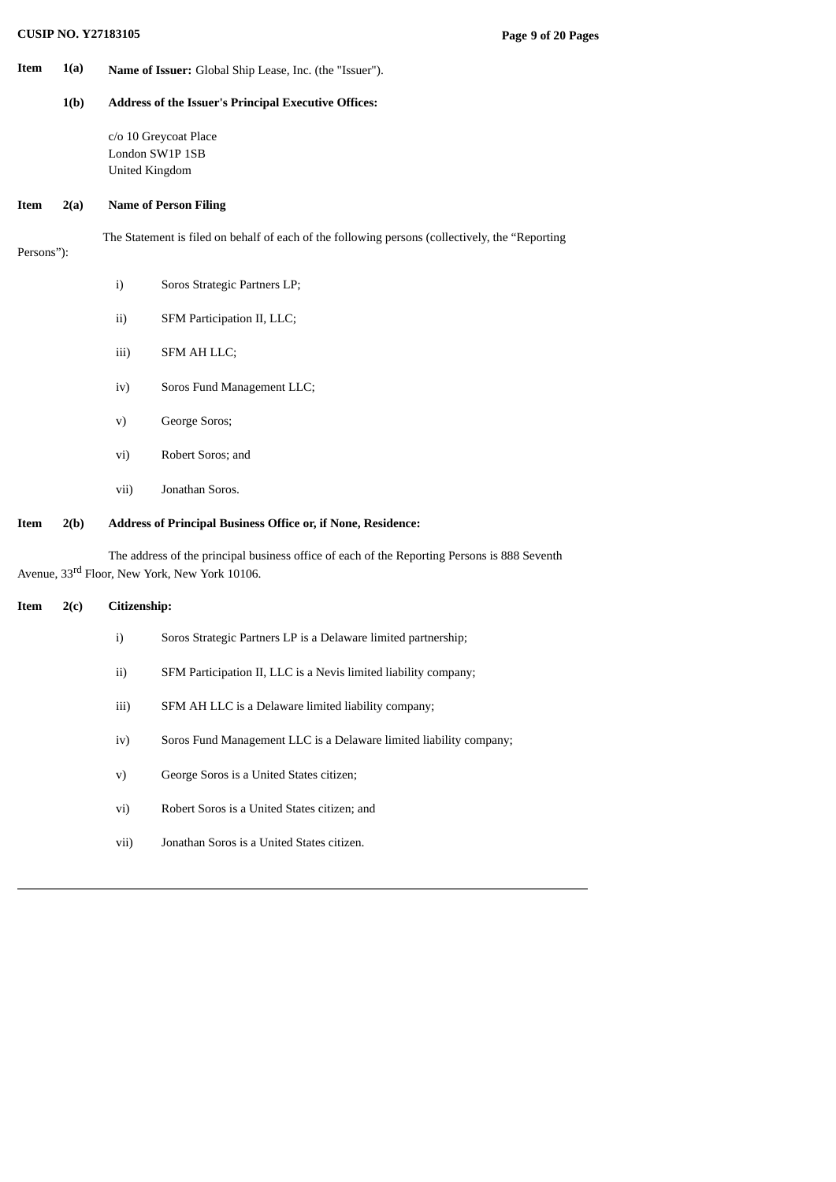**Item 1(a) Name of Issuer:** Global Ship Lease, Inc. (the "Issuer").

### **1(b) Address of the Issuer's Principal Executive Offices:**

c/o 10 Greycoat Place London SW1P 1SB United Kingdom

### **Item 2(a) Name of Person Filing**

The Statement is filed on behalf of each of the following persons (collectively, the "Reporting

### Persons"):

i) Soros Strategic Partners LP; ii) SFM Participation II, LLC; iii) SFM AH LLC; iv) Soros Fund Management LLC; v) George Soros; vi) Robert Soros; and vii) Jonathan Soros.

# **Item 2(b) Address of Principal Business Office or, if None, Residence:**

The address of the principal business office of each of the Reporting Persons is 888 Seventh Avenue, 33<sup>rd</sup> Floor, New York, New York 10106.

# **Item 2(c) Citizenship:**

| i)   | Soros Strategic Partners LP is a Delaware limited partnership;     |
|------|--------------------------------------------------------------------|
| ii)  | SFM Participation II, LLC is a Nevis limited liability company;    |
| iii) | SFM AH LLC is a Delaware limited liability company;                |
| iv)  | Soros Fund Management LLC is a Delaware limited liability company; |
| V)   | George Soros is a United States citizen;                           |
| vi)  | Robert Soros is a United States citizen; and                       |
| vii) | Jonathan Soros is a United States citizen.                         |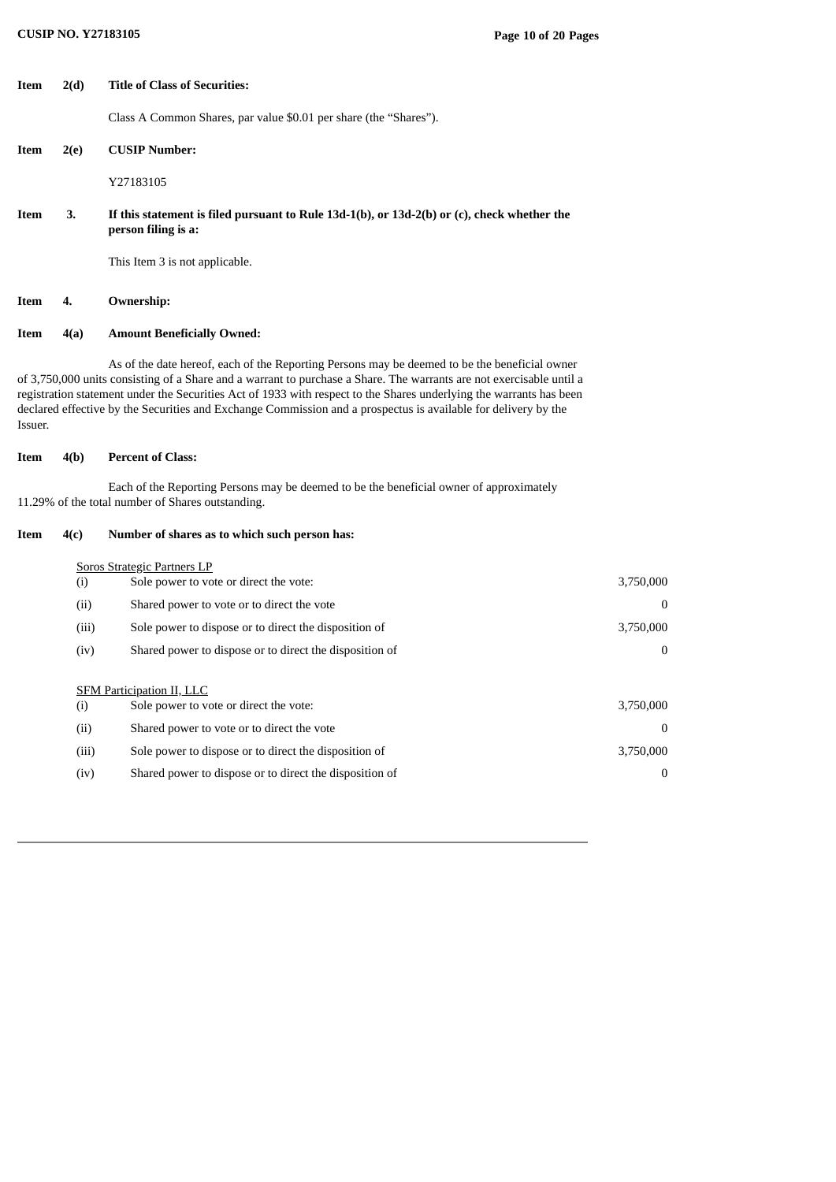| Item    | 2(d)  | <b>Title of Class of Securities:</b>                                                                                                                                                                                                                                                                                                                                                                                                                           |                  |
|---------|-------|----------------------------------------------------------------------------------------------------------------------------------------------------------------------------------------------------------------------------------------------------------------------------------------------------------------------------------------------------------------------------------------------------------------------------------------------------------------|------------------|
|         |       | Class A Common Shares, par value \$0.01 per share (the "Shares").                                                                                                                                                                                                                                                                                                                                                                                              |                  |
| Item    | 2(e)  | <b>CUSIP Number:</b>                                                                                                                                                                                                                                                                                                                                                                                                                                           |                  |
|         |       | Y27183105                                                                                                                                                                                                                                                                                                                                                                                                                                                      |                  |
| Item    | 3.    | If this statement is filed pursuant to Rule 13d-1(b), or 13d-2(b) or (c), check whether the<br>person filing is a:                                                                                                                                                                                                                                                                                                                                             |                  |
|         |       | This Item 3 is not applicable.                                                                                                                                                                                                                                                                                                                                                                                                                                 |                  |
| Item    | 4.    | <b>Ownership:</b>                                                                                                                                                                                                                                                                                                                                                                                                                                              |                  |
| Item    | 4(a)  | <b>Amount Beneficially Owned:</b>                                                                                                                                                                                                                                                                                                                                                                                                                              |                  |
| Issuer. |       | As of the date hereof, each of the Reporting Persons may be deemed to be the beneficial owner<br>of 3,750,000 units consisting of a Share and a warrant to purchase a Share. The warrants are not exercisable until a<br>registration statement under the Securities Act of 1933 with respect to the Shares underlying the warrants has been<br>declared effective by the Securities and Exchange Commission and a prospectus is available for delivery by the |                  |
| Item    | 4(b)  | <b>Percent of Class:</b>                                                                                                                                                                                                                                                                                                                                                                                                                                       |                  |
|         |       | Each of the Reporting Persons may be deemed to be the beneficial owner of approximately<br>11.29% of the total number of Shares outstanding.                                                                                                                                                                                                                                                                                                                   |                  |
| Item    | 4(c)  | Number of shares as to which such person has:                                                                                                                                                                                                                                                                                                                                                                                                                  |                  |
|         |       | <b>Soros Strategic Partners LP</b>                                                                                                                                                                                                                                                                                                                                                                                                                             |                  |
|         | (i)   | Sole power to vote or direct the vote:                                                                                                                                                                                                                                                                                                                                                                                                                         | 3,750,000        |
|         | (ii)  | Shared power to vote or to direct the vote                                                                                                                                                                                                                                                                                                                                                                                                                     | 0                |
|         | (iii) | Sole power to dispose or to direct the disposition of                                                                                                                                                                                                                                                                                                                                                                                                          | 3,750,000        |
|         | (iv)  | Shared power to dispose or to direct the disposition of                                                                                                                                                                                                                                                                                                                                                                                                        | 0                |
|         |       | <b>SFM Participation II, LLC</b>                                                                                                                                                                                                                                                                                                                                                                                                                               |                  |
|         | (i)   | Sole power to vote or direct the vote:                                                                                                                                                                                                                                                                                                                                                                                                                         | 3,750,000        |
|         | (ii)  | Shared power to vote or to direct the vote                                                                                                                                                                                                                                                                                                                                                                                                                     | $\boldsymbol{0}$ |
|         | (iii) | Sole power to dispose or to direct the disposition of                                                                                                                                                                                                                                                                                                                                                                                                          | 3,750,000        |
|         | (iv)  | Shared power to dispose or to direct the disposition of                                                                                                                                                                                                                                                                                                                                                                                                        | $\boldsymbol{0}$ |
|         |       |                                                                                                                                                                                                                                                                                                                                                                                                                                                                |                  |
|         |       |                                                                                                                                                                                                                                                                                                                                                                                                                                                                |                  |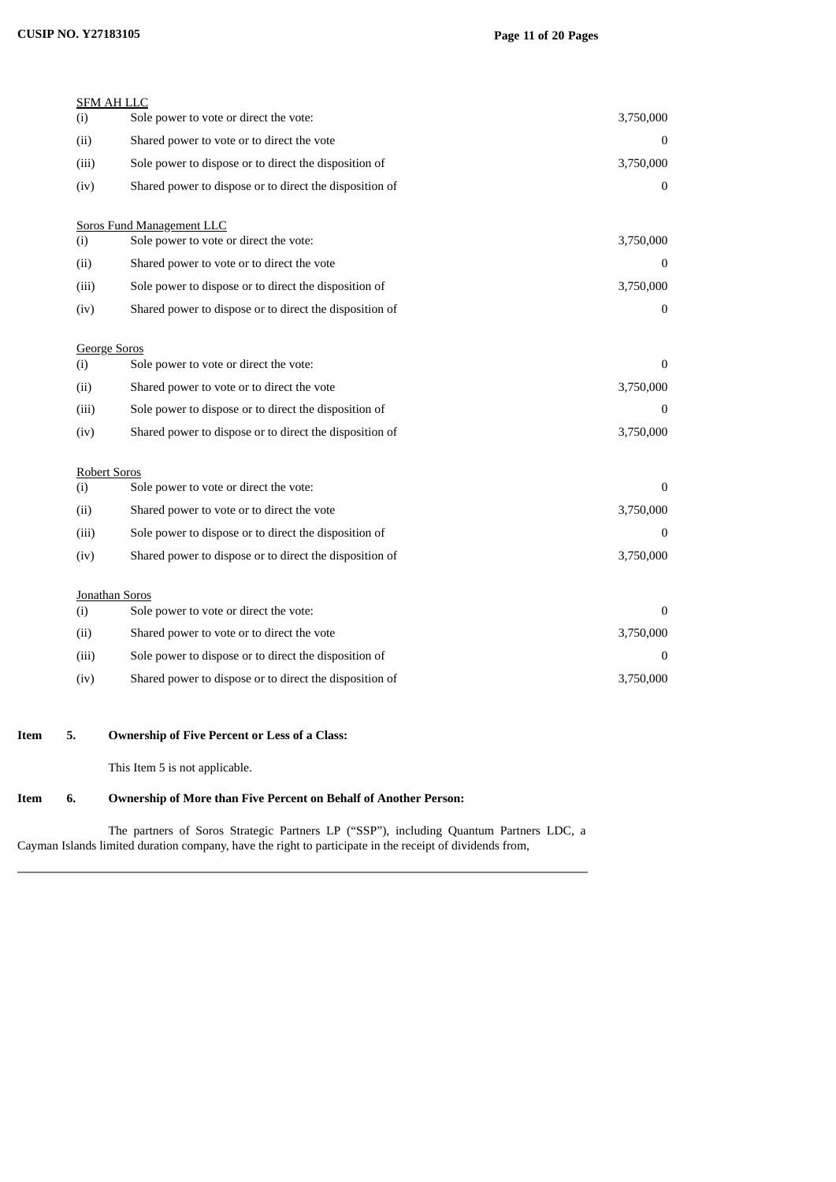# **CUSIP NO. Y27183105 Page 11 of 20 Pages**

| <b>SFM AH LLC</b><br>(i) | Sole power to vote or direct the vote:                                     | 3,750,000    |
|--------------------------|----------------------------------------------------------------------------|--------------|
| (ii)                     | Shared power to vote or to direct the vote                                 | $\Omega$     |
| (iii)                    | Sole power to dispose or to direct the disposition of                      | 3,750,000    |
| (iv)                     | Shared power to dispose or to direct the disposition of                    | $\mathbf{0}$ |
|                          |                                                                            |              |
| (i)                      | <b>Soros Fund Management LLC</b><br>Sole power to vote or direct the vote: | 3,750,000    |
| (ii)                     | Shared power to vote or to direct the vote                                 | $\Omega$     |
| (iii)                    | Sole power to dispose or to direct the disposition of                      | 3,750,000    |
| (iv)                     | Shared power to dispose or to direct the disposition of                    | $\bf{0}$     |
|                          |                                                                            |              |
| <b>George Soros</b>      |                                                                            | $\Omega$     |
| (i)                      | Sole power to vote or direct the vote:                                     |              |
| (ii)                     | Shared power to vote or to direct the vote                                 | 3,750,000    |
| (iii)                    | Sole power to dispose or to direct the disposition of                      | $\Omega$     |
| (iv)                     | Shared power to dispose or to direct the disposition of                    | 3,750,000    |
| <b>Robert Soros</b>      |                                                                            |              |
| (i)                      | Sole power to vote or direct the vote:                                     | $\Omega$     |
| (ii)                     | Shared power to vote or to direct the vote                                 | 3,750,000    |
| (iii)                    | Sole power to dispose or to direct the disposition of                      | $\Omega$     |
| (iv)                     | Shared power to dispose or to direct the disposition of                    | 3,750,000    |
|                          |                                                                            |              |
| Jonathan Soros<br>(i)    | Sole power to vote or direct the vote:                                     | $\Omega$     |
| (ii)                     | Shared power to vote or to direct the vote                                 | 3,750,000    |
| (iii)                    | Sole power to dispose or to direct the disposition of                      | $\bf{0}$     |
| (iv)                     | Shared power to dispose or to direct the disposition of                    | 3,750,000    |
|                          |                                                                            |              |

### **Item 5. Ownership of Five Percent or Less of a Class:**

This Item 5 is not applicable.

### **Item 6. Ownership of More than Five Percent on Behalf of Another Person:**

The partners of Soros Strategic Partners LP ("SSP"), including Quantum Partners LDC, a Cayman Islands limited duration company, have the right to participate in the receipt of dividends from,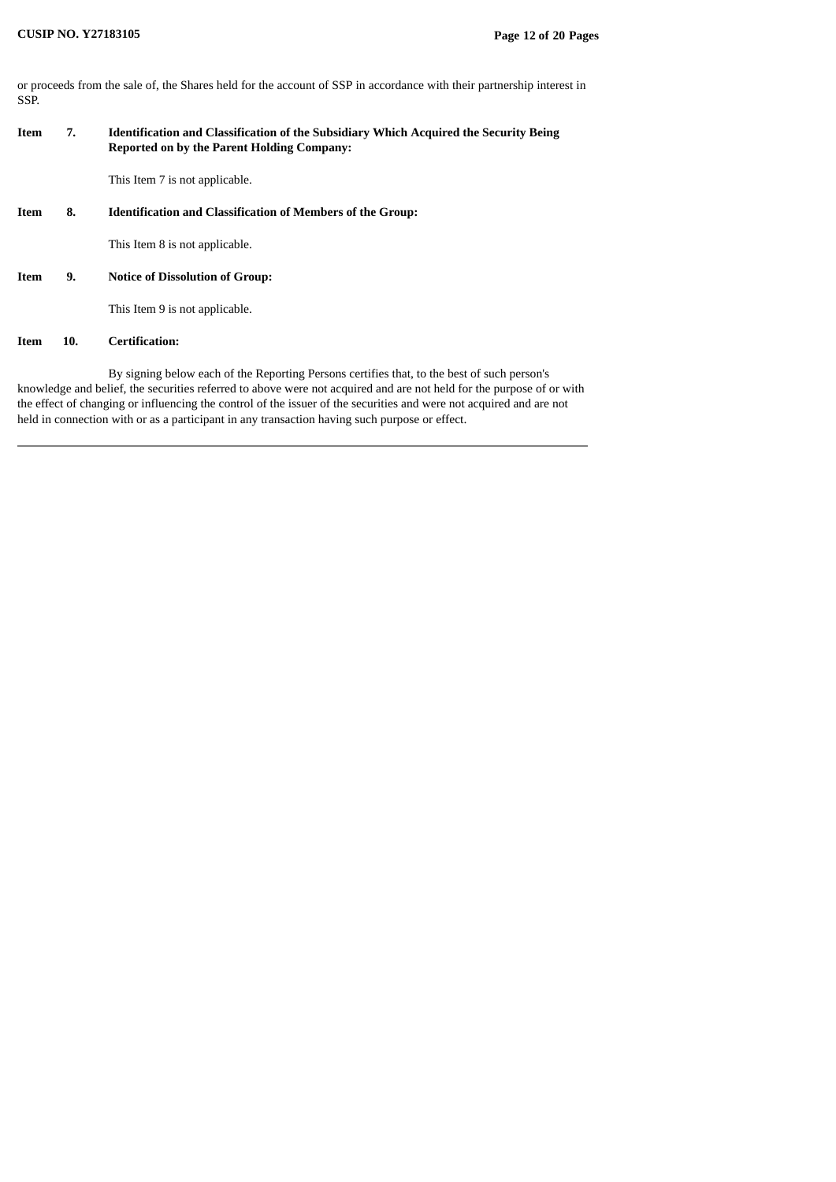or proceeds from the sale of, the Shares held for the account of SSP in accordance with their partnership interest in SSP.

# **Item 7. Identification and Classification of the Subsidiary Which Acquired the Security Being Reported on by the Parent Holding Company:**

This Item 7 is not applicable.

**Item 8. Identification and Classification of Members of the Group:**

This Item 8 is not applicable.

### **Item 9. Notice of Dissolution of Group:**

This Item 9 is not applicable.

### **Item 10. Certification:**

By signing below each of the Reporting Persons certifies that, to the best of such person's knowledge and belief, the securities referred to above were not acquired and are not held for the purpose of or with the effect of changing or influencing the control of the issuer of the securities and were not acquired and are not held in connection with or as a participant in any transaction having such purpose or effect.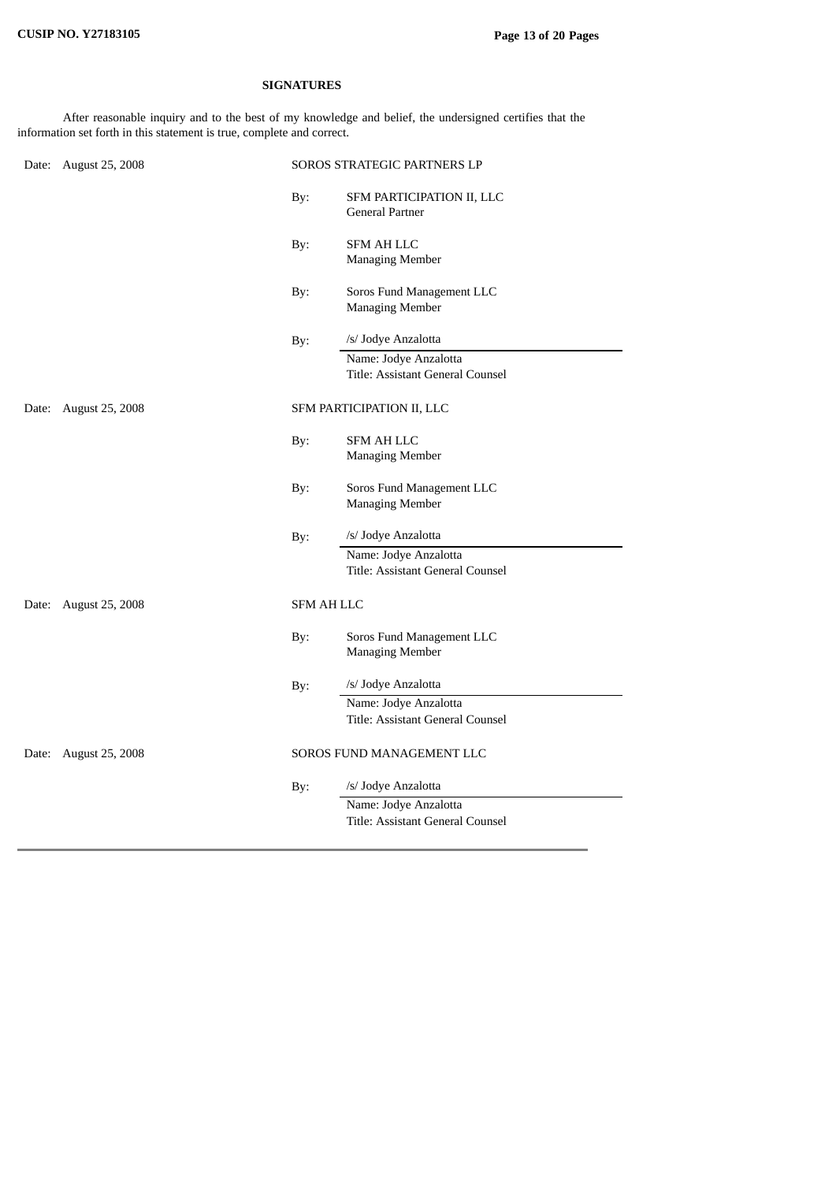# **SIGNATURES**

After reasonable inquiry and to the best of my knowledge and belief, the undersigned certifies that the information set forth in this statement is true, complete and correct.

|       | Date: August 25, 2008 | SOROS STRATEGIC PARTNERS LP |                                                                                  |
|-------|-----------------------|-----------------------------|----------------------------------------------------------------------------------|
|       |                       | By:                         | SFM PARTICIPATION II, LLC<br>General Partner                                     |
|       |                       | By:                         | <b>SFM AH LLC</b><br><b>Managing Member</b>                                      |
|       |                       | By:                         | Soros Fund Management LLC<br><b>Managing Member</b>                              |
|       |                       | By:                         | /s/ Jodye Anzalotta                                                              |
|       |                       |                             | Name: Jodye Anzalotta<br>Title: Assistant General Counsel                        |
| Date: | August 25, 2008       |                             | SFM PARTICIPATION II, LLC                                                        |
|       |                       | By:                         | <b>SFM AH LLC</b><br><b>Managing Member</b>                                      |
|       |                       | By:                         | Soros Fund Management LLC<br><b>Managing Member</b>                              |
|       |                       | By:                         | /s/ Jodye Anzalotta                                                              |
|       |                       |                             | Name: Jodye Anzalotta<br>Title: Assistant General Counsel                        |
| Date: | August 25, 2008       | <b>SFM AH LLC</b>           |                                                                                  |
|       |                       | By:                         | Soros Fund Management LLC<br><b>Managing Member</b>                              |
|       |                       | By:                         | /s/ Jodye Anzalotta                                                              |
|       |                       |                             | Name: Jodye Anzalotta<br>Title: Assistant General Counsel                        |
|       | Date: August 25, 2008 |                             | SOROS FUND MANAGEMENT LLC                                                        |
|       |                       | By:                         | /s/ Jodye Anzalotta<br>Name: Jodye Anzalotta<br>Title: Assistant General Counsel |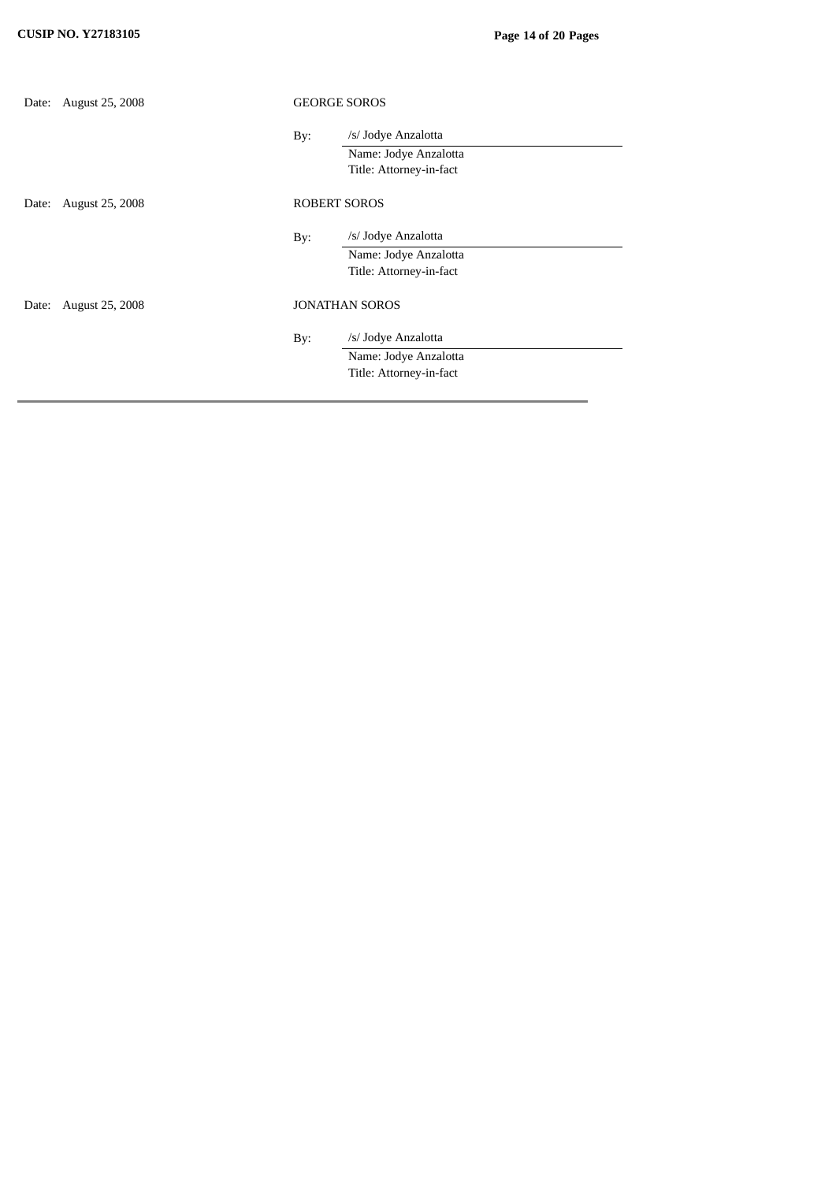| Date: | <b>August 25, 2008</b> | <b>GEORGE SOROS</b>   |                         |
|-------|------------------------|-----------------------|-------------------------|
|       |                        | By:                   | /s/ Jodye Anzalotta     |
|       |                        |                       | Name: Jodye Anzalotta   |
|       |                        |                       | Title: Attorney-in-fact |
| Date: | August 25, 2008        | <b>ROBERT SOROS</b>   |                         |
|       |                        | By:                   | /s/ Jodye Anzalotta     |
|       |                        |                       | Name: Jodye Anzalotta   |
|       |                        |                       | Title: Attorney-in-fact |
| Date: | <b>August 25, 2008</b> | <b>JONATHAN SOROS</b> |                         |
|       |                        | By:                   | /s/ Jodye Anzalotta     |
|       |                        |                       | Name: Jodye Anzalotta   |
|       |                        |                       | Title: Attorney-in-fact |
|       |                        |                       |                         |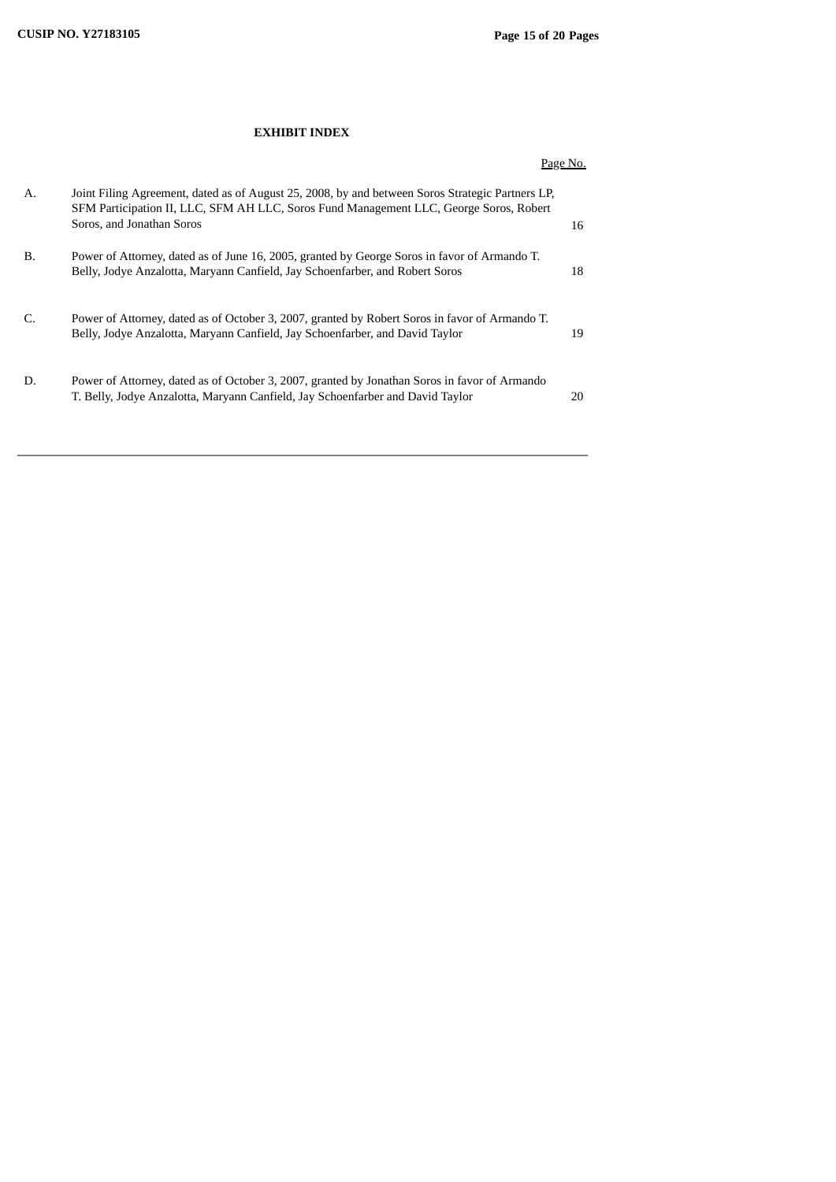# **EXHIBIT INDEX**

|           |                                                                                                                                                                                                                         | Page No. |
|-----------|-------------------------------------------------------------------------------------------------------------------------------------------------------------------------------------------------------------------------|----------|
| А.        | Joint Filing Agreement, dated as of August 25, 2008, by and between Soros Strategic Partners LP,<br>SFM Participation II, LLC, SFM AH LLC, Soros Fund Management LLC, George Soros, Robert<br>Soros, and Jonathan Soros | 16       |
| <b>B.</b> | Power of Attorney, dated as of June 16, 2005, granted by George Soros in favor of Armando T.<br>Belly, Jodye Anzalotta, Maryann Canfield, Jay Schoenfarber, and Robert Soros                                            | 18       |
| C.        | Power of Attorney, dated as of October 3, 2007, granted by Robert Soros in favor of Armando T.<br>Belly, Jodye Anzalotta, Maryann Canfield, Jay Schoenfarber, and David Taylor                                          | 19       |
| D.        | Power of Attorney, dated as of October 3, 2007, granted by Jonathan Soros in favor of Armando<br>T. Belly, Jodye Anzalotta, Maryann Canfield, Jay Schoenfarber and David Taylor                                         | 20       |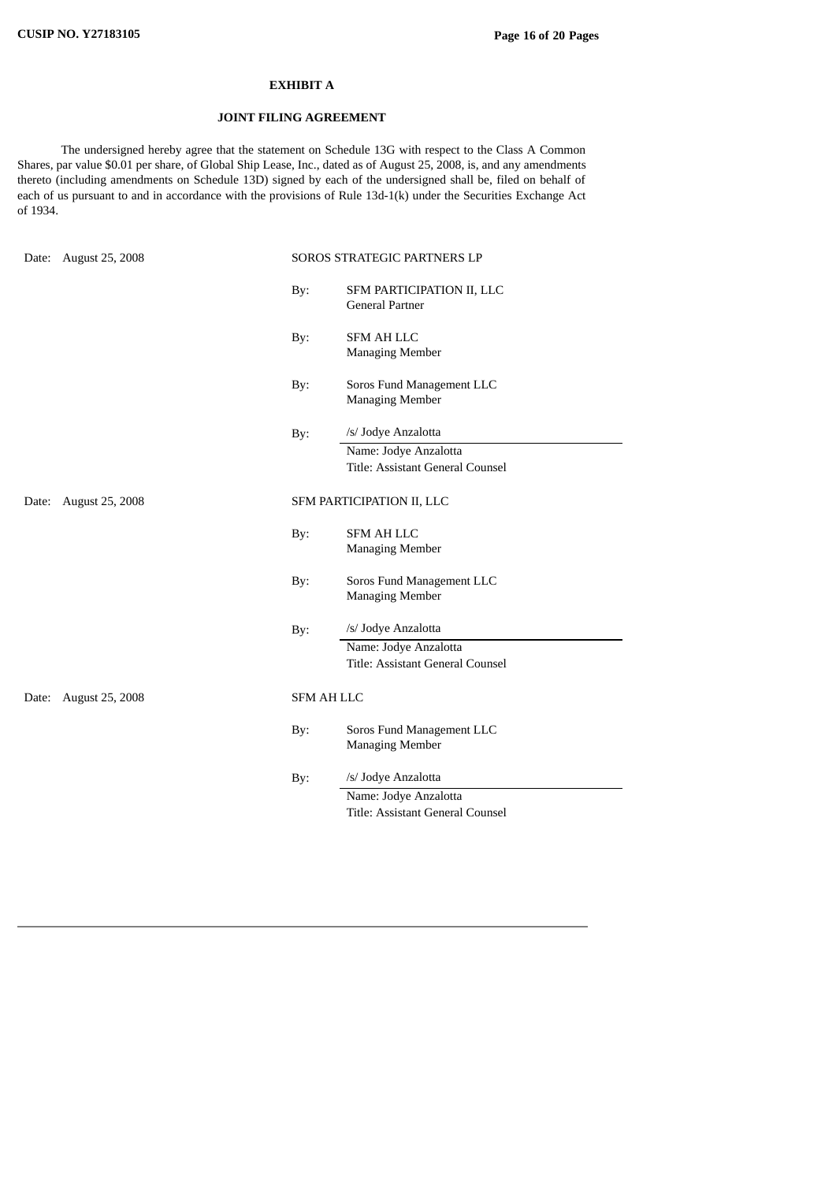### **EXHIBIT A**

### **JOINT FILING AGREEMENT**

The undersigned hereby agree that the statement on Schedule 13G with respect to the Class A Common Shares, par value \$0.01 per share, of Global Ship Lease, Inc., dated as of August 25, 2008, is, and any amendments thereto (including amendments on Schedule 13D) signed by each of the undersigned shall be, filed on behalf of each of us pursuant to and in accordance with the provisions of Rule 13d-1(k) under the Securities Exchange Act of 1934.

| Date: | August 25, 2008        | SOROS STRATEGIC PARTNERS LP |                                                     |  |
|-------|------------------------|-----------------------------|-----------------------------------------------------|--|
|       |                        | By:                         | SFM PARTICIPATION II, LLC<br>General Partner        |  |
|       |                        | By:                         | <b>SFM AH LLC</b><br><b>Managing Member</b>         |  |
|       |                        | By:                         | Soros Fund Management LLC<br><b>Managing Member</b> |  |
|       |                        | By:                         | /s/ Jodye Anzalotta                                 |  |
|       |                        |                             | Name: Jodye Anzalotta                               |  |
|       |                        |                             | Title: Assistant General Counsel                    |  |
| Date: | <b>August 25, 2008</b> |                             | SFM PARTICIPATION II, LLC                           |  |
|       |                        | By:                         | <b>SFM AH LLC</b>                                   |  |
|       |                        |                             | <b>Managing Member</b>                              |  |
|       |                        | By:                         | Soros Fund Management LLC<br><b>Managing Member</b> |  |
|       |                        | By:                         | /s/ Jodye Anzalotta                                 |  |
|       |                        |                             | Name: Jodye Anzalotta                               |  |
|       |                        |                             | Title: Assistant General Counsel                    |  |
|       | Date: August 25, 2008  |                             | <b>SFM AH LLC</b>                                   |  |
|       |                        | By:                         | Soros Fund Management LLC<br><b>Managing Member</b> |  |
|       |                        | By:                         | /s/ Jodye Anzalotta                                 |  |
|       |                        |                             | Name: Jodye Anzalotta                               |  |
|       |                        |                             | Title: Assistant General Counsel                    |  |
|       |                        |                             |                                                     |  |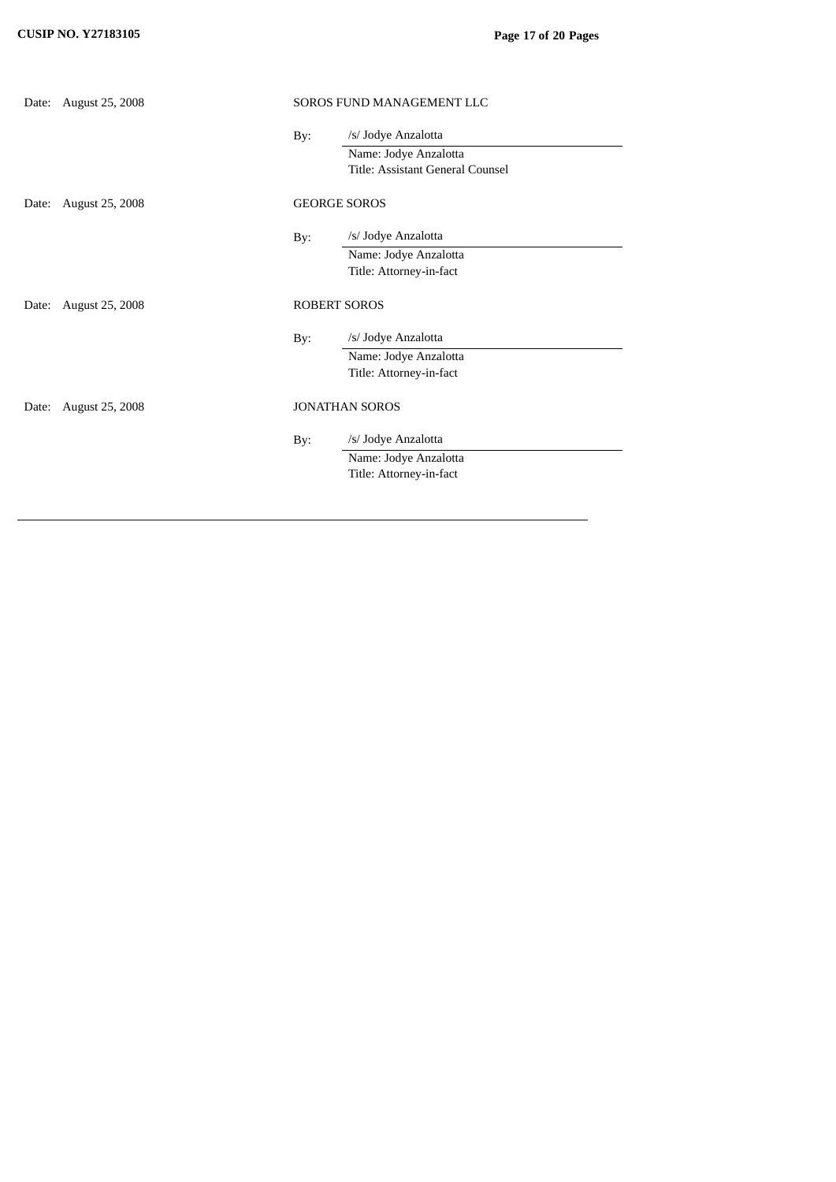|       | Date: August 25, 2008  | SOROS FUND MANAGEMENT LLC |                                  |  |
|-------|------------------------|---------------------------|----------------------------------|--|
|       |                        | By:                       | /s/ Jodye Anzalotta              |  |
|       |                        |                           | Name: Jodye Anzalotta            |  |
|       |                        |                           | Title: Assistant General Counsel |  |
| Date: | <b>August 25, 2008</b> | <b>GEORGE SOROS</b>       |                                  |  |
|       |                        | By:                       | /s/ Jodye Anzalotta              |  |
|       |                        |                           | Name: Jodye Anzalotta            |  |
|       |                        |                           | Title: Attorney-in-fact          |  |
| Date: | August 25, 2008        |                           | <b>ROBERT SOROS</b>              |  |
|       |                        | By:                       | /s/ Jodye Anzalotta              |  |
|       |                        |                           | Name: Jodye Anzalotta            |  |
|       |                        |                           | Title: Attorney-in-fact          |  |
| Date: | <b>August 25, 2008</b> |                           | <b>JONATHAN SOROS</b>            |  |
|       |                        | By:                       | /s/ Jodye Anzalotta              |  |
|       |                        |                           | Name: Jodye Anzalotta            |  |
|       |                        |                           | Title: Attorney-in-fact          |  |
|       |                        |                           |                                  |  |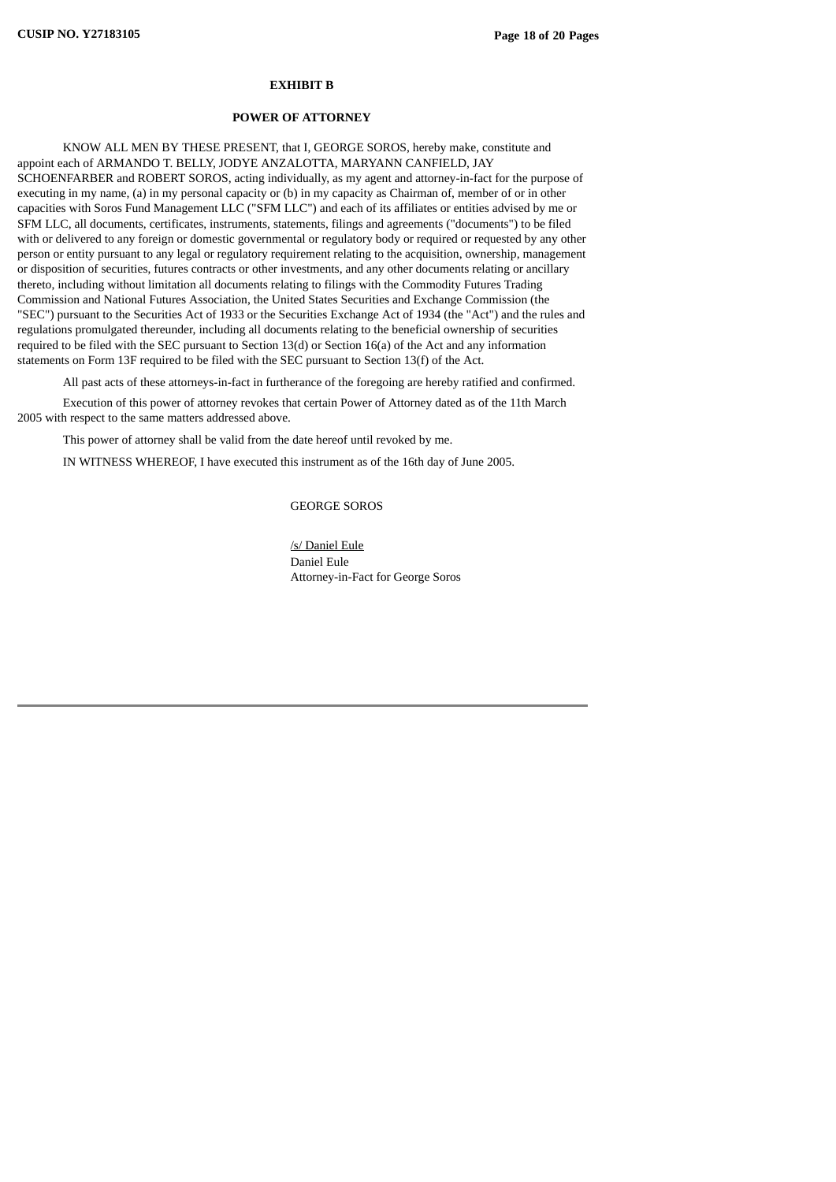### **EXHIBIT B**

#### **POWER OF ATTORNEY**

KNOW ALL MEN BY THESE PRESENT, that I, GEORGE SOROS, hereby make, constitute and appoint each of ARMANDO T. BELLY, JODYE ANZALOTTA, MARYANN CANFIELD, JAY SCHOENFARBER and ROBERT SOROS, acting individually, as my agent and attorney-in-fact for the purpose of executing in my name, (a) in my personal capacity or (b) in my capacity as Chairman of, member of or in other capacities with Soros Fund Management LLC ("SFM LLC") and each of its affiliates or entities advised by me or SFM LLC, all documents, certificates, instruments, statements, filings and agreements ("documents") to be filed with or delivered to any foreign or domestic governmental or regulatory body or required or requested by any other person or entity pursuant to any legal or regulatory requirement relating to the acquisition, ownership, management or disposition of securities, futures contracts or other investments, and any other documents relating or ancillary thereto, including without limitation all documents relating to filings with the Commodity Futures Trading Commission and National Futures Association, the United States Securities and Exchange Commission (the "SEC") pursuant to the Securities Act of 1933 or the Securities Exchange Act of 1934 (the "Act") and the rules and regulations promulgated thereunder, including all documents relating to the beneficial ownership of securities required to be filed with the SEC pursuant to Section 13(d) or Section 16(a) of the Act and any information statements on Form 13F required to be filed with the SEC pursuant to Section 13(f) of the Act.

All past acts of these attorneys-in-fact in furtherance of the foregoing are hereby ratified and confirmed.

Execution of this power of attorney revokes that certain Power of Attorney dated as of the 11th March 2005 with respect to the same matters addressed above.

This power of attorney shall be valid from the date hereof until revoked by me.

IN WITNESS WHEREOF, I have executed this instrument as of the 16th day of June 2005.

GEORGE SOROS

/s/ Daniel Eule Daniel Eule Attorney-in-Fact for George Soros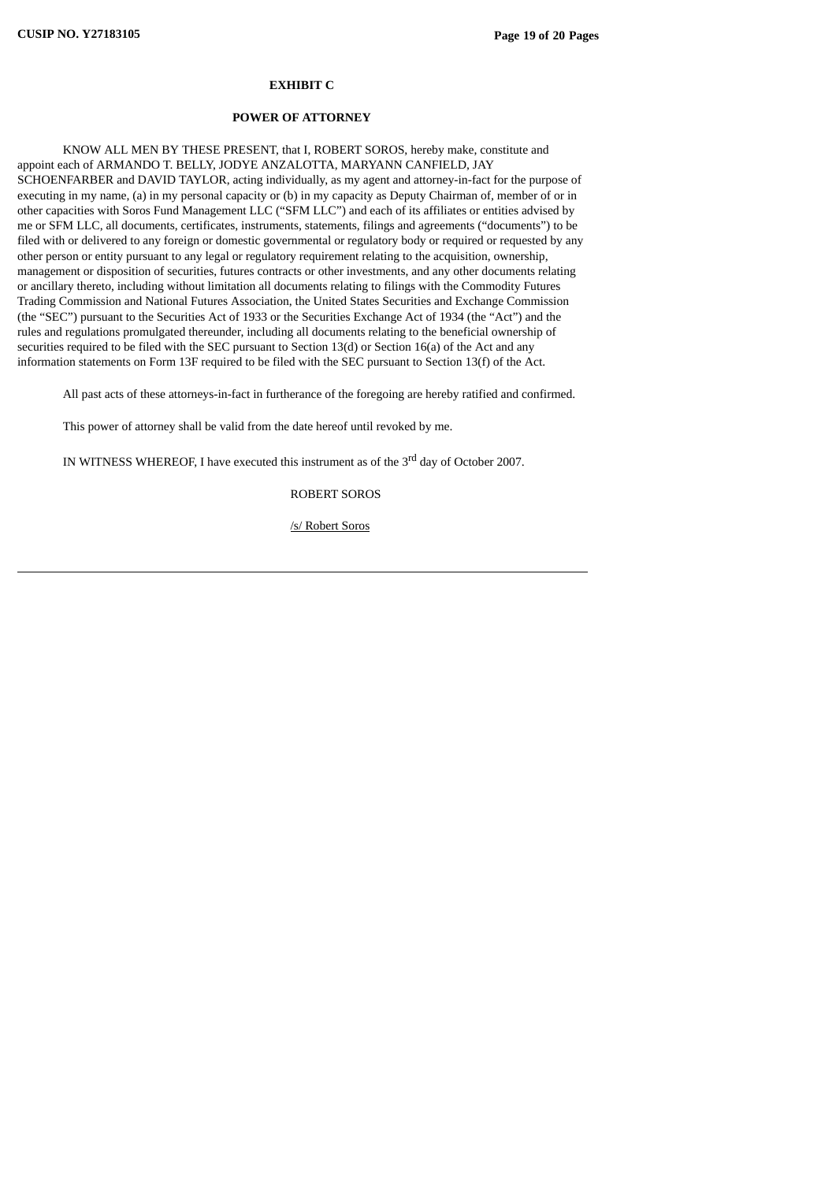### **EXHIBIT C**

#### **POWER OF ATTORNEY**

KNOW ALL MEN BY THESE PRESENT, that I, ROBERT SOROS, hereby make, constitute and appoint each of ARMANDO T. BELLY, JODYE ANZALOTTA, MARYANN CANFIELD, JAY SCHOENFARBER and DAVID TAYLOR, acting individually, as my agent and attorney-in-fact for the purpose of executing in my name, (a) in my personal capacity or (b) in my capacity as Deputy Chairman of, member of or in other capacities with Soros Fund Management LLC ("SFM LLC") and each of its affiliates or entities advised by me or SFM LLC, all documents, certificates, instruments, statements, filings and agreements ("documents") to be filed with or delivered to any foreign or domestic governmental or regulatory body or required or requested by any other person or entity pursuant to any legal or regulatory requirement relating to the acquisition, ownership, management or disposition of securities, futures contracts or other investments, and any other documents relating or ancillary thereto, including without limitation all documents relating to filings with the Commodity Futures Trading Commission and National Futures Association, the United States Securities and Exchange Commission (the "SEC") pursuant to the Securities Act of 1933 or the Securities Exchange Act of 1934 (the "Act") and the rules and regulations promulgated thereunder, including all documents relating to the beneficial ownership of securities required to be filed with the SEC pursuant to Section  $13(d)$  or Section  $16(a)$  of the Act and any information statements on Form 13F required to be filed with the SEC pursuant to Section 13(f) of the Act.

All past acts of these attorneys-in-fact in furtherance of the foregoing are hereby ratified and confirmed.

This power of attorney shall be valid from the date hereof until revoked by me.

IN WITNESS WHEREOF, I have executed this instrument as of the 3<sup>rd</sup> day of October 2007.

ROBERT SOROS

/s/ Robert Soros